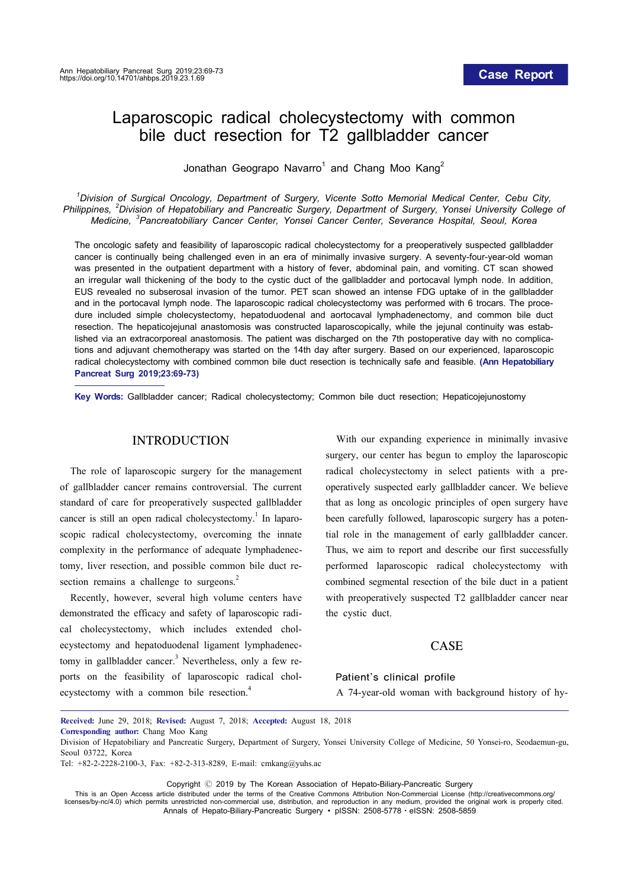# Laparoscopic radical cholecystectomy with common bile duct resection for T2 gallbladder cancer

Jonathan Geograpo Navarro<sup>1</sup> and Chang Moo Kang<sup>2</sup>

*1 Division of Surgical Oncology, Department of Surgery, Vicente Sotto Memorial Medical Center, Cebu City, Philippines, <sup>2</sup> Division of Hepatobiliary and Pancreatic Surgery, Department of Surgery, Yonsei University College of Medicine, <sup>3</sup> Pancreatobiliary Cancer Center, Yonsei Cancer Center, Severance Hospital, Seoul, Korea*

The oncologic safety and feasibility of laparoscopic radical cholecystectomy for a preoperatively suspected gallbladder cancer is continually being challenged even in an era of minimally invasive surgery. A seventy-four-year-old woman was presented in the outpatient department with a history of fever, abdominal pain, and vomiting. CT scan showed an irregular wall thickening of the body to the cystic duct of the gallbladder and portocaval lymph node. In addition, EUS revealed no subserosal invasion of the tumor. PET scan showed an intense FDG uptake of in the gallbladder and in the portocaval lymph node. The laparoscopic radical cholecystectomy was performed with 6 trocars. The procedure included simple cholecystectomy, hepatoduodenal and aortocaval lymphadenectomy, and common bile duct resection. The hepaticojejunal anastomosis was constructed laparoscopically, while the jejunal continuity was established via an extracorporeal anastomosis. The patient was discharged on the 7th postoperative day with no complications and adjuvant chemotherapy was started on the 14th day after surgery. Based on our experienced, laparoscopic radical cholecystectomy with combined common bile duct resection is technically safe and feasible. **(Ann Hepatobiliary Pancreat Surg 2019;23:69-73)**

**Key Words:** Gallbladder cancer; Radical cholecystectomy; Common bile duct resection; Hepaticojejunostomy

#### INTRODUCTION

The role of laparoscopic surgery for the management of gallbladder cancer remains controversial. The current standard of care for preoperatively suspected gallbladder cancer is still an open radical cholecystectomy.<sup>1</sup> In laparoscopic radical cholecystectomy, overcoming the innate complexity in the performance of adequate lymphadenectomy, liver resection, and possible common bile duct resection remains a challenge to surgeons.<sup>2</sup>

Recently, however, several high volume centers have demonstrated the efficacy and safety of laparoscopic radical cholecystectomy, which includes extended cholecystectomy and hepatoduodenal ligament lymphadenectomy in gallbladder cancer.<sup>3</sup> Nevertheless, only a few reports on the feasibility of laparoscopic radical cholecystectomy with a common bile resection.<sup>4</sup>

With our expanding experience in minimally invasive surgery, our center has begun to employ the laparoscopic radical cholecystectomy in select patients with a preoperatively suspected early gallbladder cancer. We believe that as long as oncologic principles of open surgery have been carefully followed, laparoscopic surgery has a potential role in the management of early gallbladder cancer. Thus, we aim to report and describe our first successfully performed laparoscopic radical cholecystectomy with combined segmental resection of the bile duct in a patient with preoperatively suspected T2 gallbladder cancer near the cystic duct.

# CASE

#### Patient's clinical profile

A 74-year-old woman with background history of hy-

Copyright Ⓒ 2019 by The Korean Association of Hepato-Biliary-Pancreatic Surgery

This is an Open Access article distributed under the terms of the Creative Commons Attribution Non-Commercial License (http://creativecommons.org/ licenses/by-nc/4.0) which permits unrestricted non-commercial use, distribution, and reproduction in any medium, provided the original work is properly cited. Annals of Hepato-Biliary-Pancreatic Surgery ∙ pISSN: 2508-5778ㆍeISSN: 2508-5859

**Received:** June 29, 2018; **Revised:** August 7, 2018; **Accepted:** August 18, 2018 **Corresponding author:** Chang Moo Kang

Division of Hepatobiliary and Pancreatic Surgery, Department of Surgery, Yonsei University College of Medicine, 50 Yonsei-ro, Seodaemun-gu, Seoul 03722, Korea

Tel: +82-2-2228-2100-3, Fax: +82-2-313-8289, E-mail: cmkang@yuhs.ac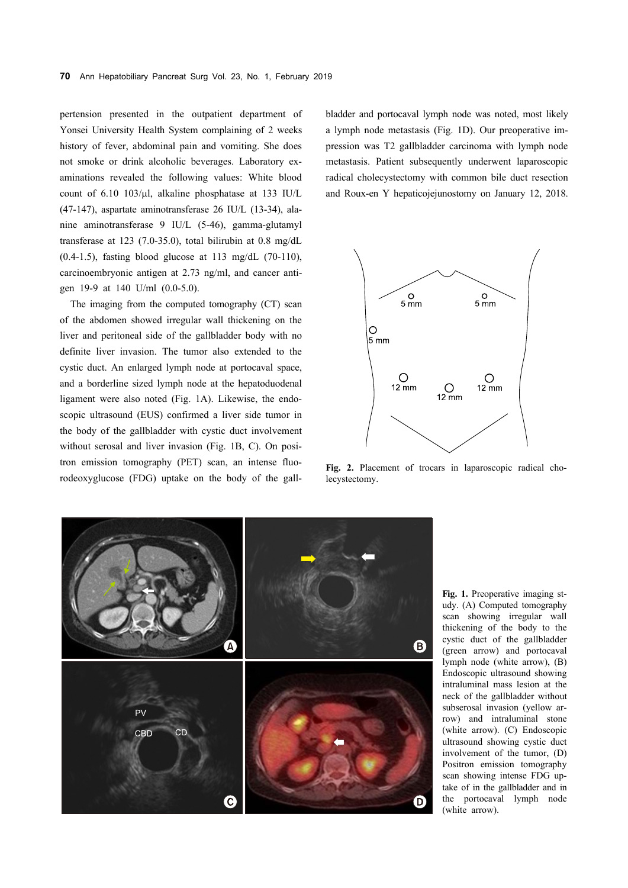pertension presented in the outpatient department of Yonsei University Health System complaining of 2 weeks history of fever, abdominal pain and vomiting. She does not smoke or drink alcoholic beverages. Laboratory examinations revealed the following values: White blood count of  $6.10$   $103/\mu$ , alkaline phosphatase at 133 IU/L (47-147), aspartate aminotransferase 26 IU/L (13-34), alanine aminotransferase 9 IU/L (5-46), gamma-glutamyl transferase at 123 (7.0-35.0), total bilirubin at 0.8 mg/dL  $(0.4-1.5)$ , fasting blood glucose at 113 mg/dL  $(70-110)$ , carcinoembryonic antigen at 2.73 ng/ml, and cancer antigen 19-9 at 140 U/ml (0.0-5.0).

The imaging from the computed tomography (CT) scan of the abdomen showed irregular wall thickening on the liver and peritoneal side of the gallbladder body with no definite liver invasion. The tumor also extended to the cystic duct. An enlarged lymph node at portocaval space, and a borderline sized lymph node at the hepatoduodenal ligament were also noted (Fig. 1A). Likewise, the endoscopic ultrasound (EUS) confirmed a liver side tumor in the body of the gallbladder with cystic duct involvement without serosal and liver invasion (Fig. 1B, C). On positron emission tomography (PET) scan, an intense fluorodeoxyglucose (FDG) uptake on the body of the gallbladder and portocaval lymph node was noted, most likely a lymph node metastasis (Fig. 1D). Our preoperative impression was T2 gallbladder carcinoma with lymph node metastasis. Patient subsequently underwent laparoscopic radical cholecystectomy with common bile duct resection and Roux-en Y hepaticojejunostomy on January 12, 2018.



**Fig. 2.** Placement of trocars in laparoscopic radical cholecystectomy.



**Fig. 1.** Preoperative imaging study. (A) Computed tomography scan showing irregular wall thickening of the body to the cystic duct of the gallbladder (green arrow) and portocaval lymph node (white arrow), (B) Endoscopic ultrasound showing intraluminal mass lesion at the neck of the gallbladder without subserosal invasion (yellow arrow) and intraluminal stone (white arrow). (C) Endoscopic ultrasound showing cystic duct involvement of the tumor, (D) Positron emission tomography scan showing intense FDG uptake of in the gallbladder and in the portocaval lymph node (white arrow).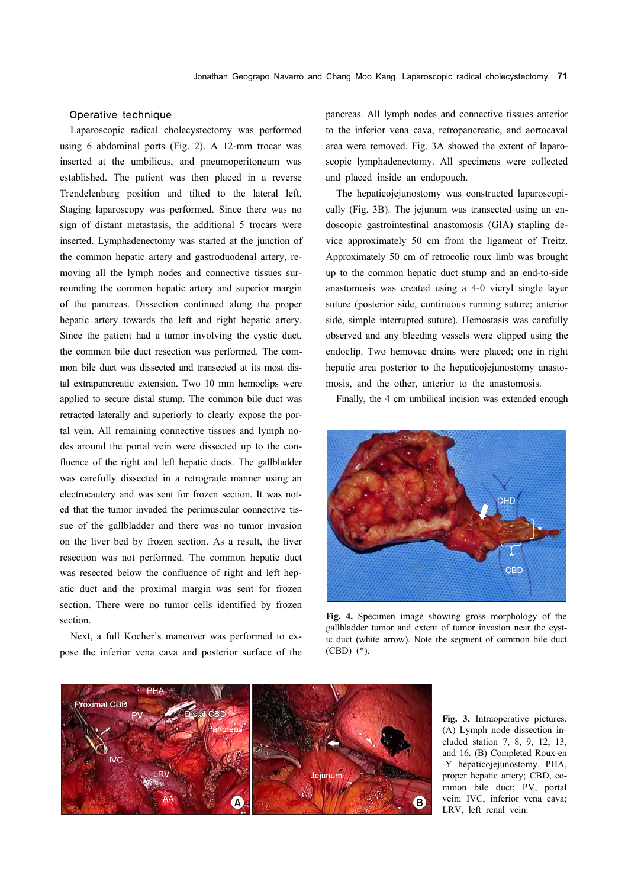## Operative technique

Laparoscopic radical cholecystectomy was performed using 6 abdominal ports (Fig. 2). A 12-mm trocar was inserted at the umbilicus, and pneumoperitoneum was established. The patient was then placed in a reverse Trendelenburg position and tilted to the lateral left. Staging laparoscopy was performed. Since there was no sign of distant metastasis, the additional 5 trocars were inserted. Lymphadenectomy was started at the junction of the common hepatic artery and gastroduodenal artery, removing all the lymph nodes and connective tissues surrounding the common hepatic artery and superior margin of the pancreas. Dissection continued along the proper hepatic artery towards the left and right hepatic artery. Since the patient had a tumor involving the cystic duct, the common bile duct resection was performed. The common bile duct was dissected and transected at its most distal extrapancreatic extension. Two 10 mm hemoclips were applied to secure distal stump. The common bile duct was retracted laterally and superiorly to clearly expose the portal vein. All remaining connective tissues and lymph nodes around the portal vein were dissected up to the confluence of the right and left hepatic ducts. The gallbladder was carefully dissected in a retrograde manner using an electrocautery and was sent for frozen section. It was noted that the tumor invaded the perimuscular connective tissue of the gallbladder and there was no tumor invasion on the liver bed by frozen section. As a result, the liver resection was not performed. The common hepatic duct was resected below the confluence of right and left hepatic duct and the proximal margin was sent for frozen section. There were no tumor cells identified by frozen section.

Next, a full Kocher's maneuver was performed to expose the inferior vena cava and posterior surface of the pancreas. All lymph nodes and connective tissues anterior to the inferior vena cava, retropancreatic, and aortocaval area were removed. Fig. 3A showed the extent of laparoscopic lymphadenectomy. All specimens were collected and placed inside an endopouch.

The hepaticojejunostomy was constructed laparoscopically (Fig. 3B). The jejunum was transected using an endoscopic gastrointestinal anastomosis (GIA) stapling device approximately 50 cm from the ligament of Treitz. Approximately 50 cm of retrocolic roux limb was brought up to the common hepatic duct stump and an end-to-side anastomosis was created using a 4-0 vicryl single layer suture (posterior side, continuous running suture; anterior side, simple interrupted suture). Hemostasis was carefully observed and any bleeding vessels were clipped using the endoclip. Two hemovac drains were placed; one in right hepatic area posterior to the hepaticojejunostomy anastomosis, and the other, anterior to the anastomosis.

Finally, the 4 cm umbilical incision was extended enough



**Fig. 4.** Specimen image showing gross morphology of the gallbladder tumor and extent of tumor invasion near the cystic duct (white arrow). Note the segment of common bile duct (CBD) (\*).



**Fig. 3.** Intraoperative pictures. (A) Lymph node dissection included station 7, 8, 9, 12, 13, and 16. (B) Completed Roux-en -Y hepaticojejunostomy. PHA, proper hepatic artery; CBD, common bile duct; PV, portal vein; IVC, inferior vena cava; LRV, left renal vein.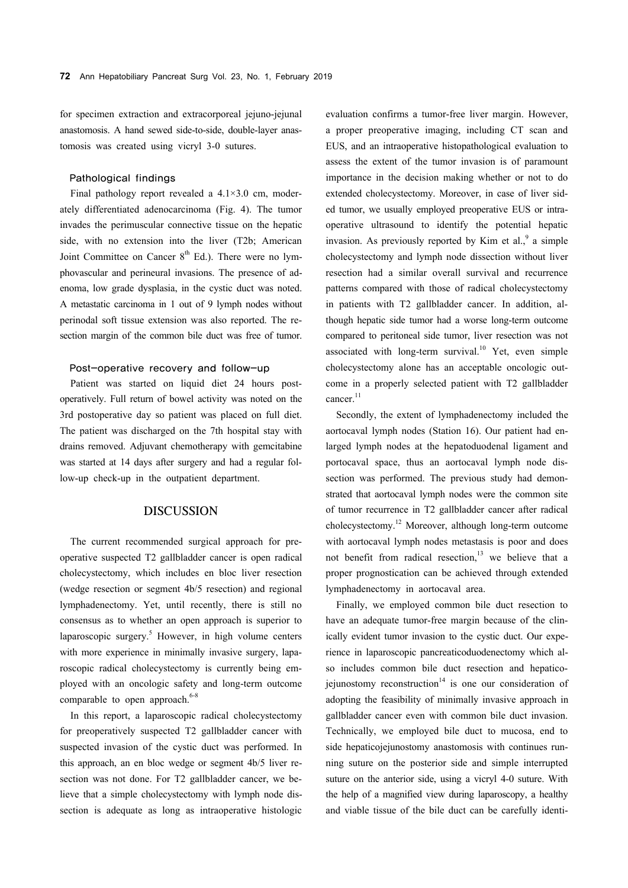for specimen extraction and extracorporeal jejuno-jejunal anastomosis. A hand sewed side-to-side, double-layer anastomosis was created using vicryl 3-0 sutures.

#### Pathological findings

Final pathology report revealed a  $4.1 \times 3.0$  cm, moderately differentiated adenocarcinoma (Fig. 4). The tumor invades the perimuscular connective tissue on the hepatic side, with no extension into the liver (T2b; American Joint Committee on Cancer  $8<sup>th</sup>$  Ed.). There were no lymphovascular and perineural invasions. The presence of adenoma, low grade dysplasia, in the cystic duct was noted. A metastatic carcinoma in 1 out of 9 lymph nodes without perinodal soft tissue extension was also reported. The resection margin of the common bile duct was free of tumor.

### Post-operative recovery and follow-up

Patient was started on liquid diet 24 hours postoperatively. Full return of bowel activity was noted on the 3rd postoperative day so patient was placed on full diet. The patient was discharged on the 7th hospital stay with drains removed. Adjuvant chemotherapy with gemcitabine was started at 14 days after surgery and had a regular follow-up check-up in the outpatient department.

# DISCUSSION

The current recommended surgical approach for preoperative suspected T2 gallbladder cancer is open radical cholecystectomy, which includes en bloc liver resection (wedge resection or segment 4b/5 resection) and regional lymphadenectomy. Yet, until recently, there is still no consensus as to whether an open approach is superior to laparoscopic surgery.<sup>5</sup> However, in high volume centers with more experience in minimally invasive surgery, laparoscopic radical cholecystectomy is currently being employed with an oncologic safety and long-term outcome comparable to open approach. $6-8$ 

In this report, a laparoscopic radical cholecystectomy for preoperatively suspected T2 gallbladder cancer with suspected invasion of the cystic duct was performed. In this approach, an en bloc wedge or segment 4b/5 liver resection was not done. For T2 gallbladder cancer, we believe that a simple cholecystectomy with lymph node dissection is adequate as long as intraoperative histologic

evaluation confirms a tumor-free liver margin. However, a proper preoperative imaging, including CT scan and EUS, and an intraoperative histopathological evaluation to assess the extent of the tumor invasion is of paramount importance in the decision making whether or not to do extended cholecystectomy. Moreover, in case of liver sided tumor, we usually employed preoperative EUS or intraoperative ultrasound to identify the potential hepatic invasion. As previously reported by Kim et al., $9$  a simple cholecystectomy and lymph node dissection without liver resection had a similar overall survival and recurrence patterns compared with those of radical cholecystectomy in patients with T2 gallbladder cancer. In addition, although hepatic side tumor had a worse long-term outcome compared to peritoneal side tumor, liver resection was not associated with long-term survival.<sup>10</sup> Yet, even simple cholecystectomy alone has an acceptable oncologic outcome in a properly selected patient with T2 gallbladder cancer.<sup>11</sup>

Secondly, the extent of lymphadenectomy included the aortocaval lymph nodes (Station 16). Our patient had enlarged lymph nodes at the hepatoduodenal ligament and portocaval space, thus an aortocaval lymph node dissection was performed. The previous study had demonstrated that aortocaval lymph nodes were the common site of tumor recurrence in T2 gallbladder cancer after radical cholecystectomy.12 Moreover, although long-term outcome with aortocaval lymph nodes metastasis is poor and does not benefit from radical resection,<sup>13</sup> we believe that a proper prognostication can be achieved through extended lymphadenectomy in aortocaval area.

Finally, we employed common bile duct resection to have an adequate tumor-free margin because of the clinically evident tumor invasion to the cystic duct. Our experience in laparoscopic pancreaticoduodenectomy which also includes common bile duct resection and hepaticojejunostomy reconstruction $14$  is one our consideration of adopting the feasibility of minimally invasive approach in gallbladder cancer even with common bile duct invasion. Technically, we employed bile duct to mucosa, end to side hepaticojejunostomy anastomosis with continues running suture on the posterior side and simple interrupted suture on the anterior side, using a vicryl 4-0 suture. With the help of a magnified view during laparoscopy, a healthy and viable tissue of the bile duct can be carefully identi-